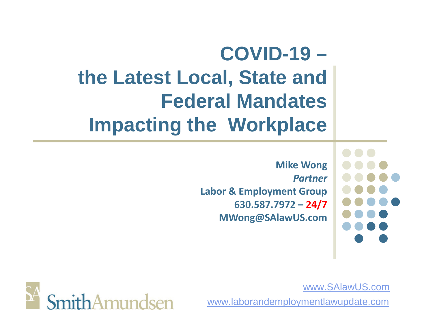# **COVID-19 – the Latest Local, State and Federal Mandates Impacting the Workplace**

**Mike Wong** *Partner* **Labor & Employment Group 630.587.7972 – 24/7 MWong@SAlawUS.com**



www.SAlawUS.com

www.laborandemploymentlawupdate.com

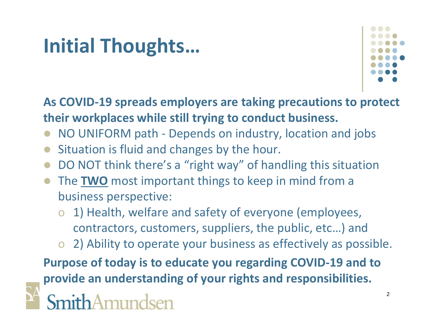# **Initial Thoughts…**



**As COVID-19 spreads employers are taking precautions to protect their workplaces while still trying to conduct business.**

- NO UNIFORM path Depends on industry, location and jobs
- Situation is fluid and changes by the hour.
- DO NOT think there's a "right way" of handling this situation
- The **TWO** most important things to keep in mind from a business perspective:
	- o 1) Health, welfare and safety of everyone (employees, contractors, customers, suppliers, the public, etc…) and
	- o 2) Ability to operate your business as effectively as possible.

**Purpose of today is to educate you regarding COVID-19 and to provide an understanding of your rights and responsibilities.**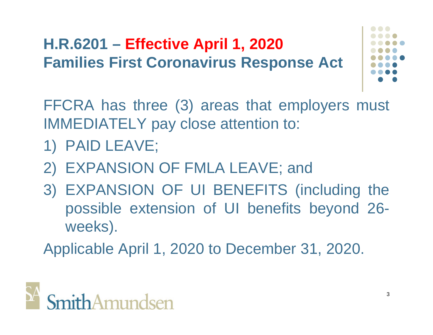### **H.R.6201 – Effective April 1, 2020 Families First Coronavirus Response Act**



FFCRA has three (3) areas that employers must IMMEDIATELY pay close attention to:

- 1) PAID LEAVE;
- 2) EXPANSION OF FMLA LEAVE; and
- 3) EXPANSION OF UI BENEFITS (including the possible extension of UI benefits beyond 26 weeks).

Applicable April 1, 2020 to December 31, 2020.

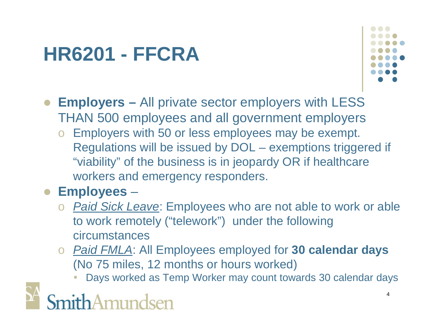

- **Employers –** All private sector employers with LESS THAN 500 employees and all government employers
	- o Employers with 50 or less employees may be exempt. Regulations will be issued by DOL – exemptions triggered if "viability" of the business is in jeopardy OR if healthcare workers and emergency responders.

#### **Employees** –

- o *Paid Sick Leave*: Employees who are not able to work or able to work remotely ("telework") under the following circumstances
- o *Paid FMLA*: All Employees employed for **30 calendar days** (No 75 miles, 12 months or hours worked)
	- Days worked as Temp Worker may count towards 30 calendar days

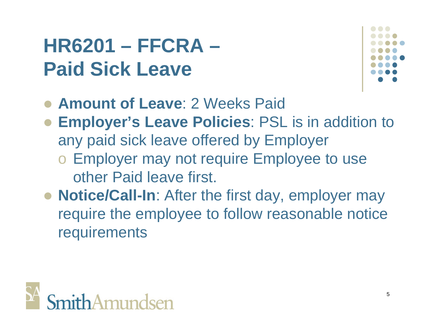# **HR6201 – FFCRA – Paid Sick Leave**



- **Amount of Leave**: 2 Weeks Paid
- **Employer's Leave Policies**: PSL is in addition to any paid sick leave offered by Employer o Employer may not require Employee to use other Paid leave first.
- **Notice/Call-In**: After the first day, employer may require the employee to follow reasonable notice requirements

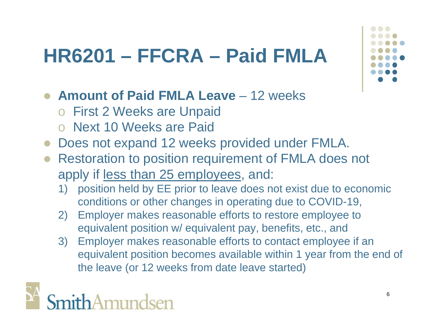# **HR6201 – FFCRA – Paid FMLA**

- **Amount of Paid FMLA Leave** 12 weeks
	- o First 2 Weeks are Unpaid
	- o Next 10 Weeks are Paid
- Does not expand 12 weeks provided under FMLA.
- Restoration to position requirement of FMLA does not apply if less than 25 employees, and:
	- 1) position held by EE prior to leave does not exist due to economic conditions or other changes in operating due to COVID-19,
	- 2) Employer makes reasonable efforts to restore employee to equivalent position w/ equivalent pay, benefits, etc., and
	- 3) Employer makes reasonable efforts to contact employee if an equivalent position becomes available within 1 year from the end of the leave (or 12 weeks from date leave started)

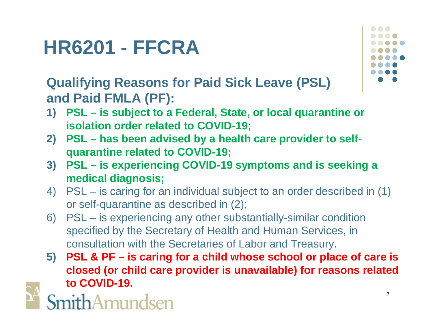**Qualifying Reasons for Paid Sick Leave (PSL) and Paid FMLA (PF):**

- **1) PSL is subject to a Federal, State, or local quarantine or isolation order related to COVID-19;**
- **2) PSL has been advised by a health care provider to selfquarantine related to COVID-19;**
- **3) PSL is experiencing COVID-19 symptoms and is seeking a medical diagnosis;**
- 4) PSL is caring for an individual subject to an order described in (1) or self-quarantine as described in (2);
- 6) PSL is experiencing any other substantially-similar condition specified by the Secretary of Health and Human Services, in consultation with the Secretaries of Labor and Treasury.
- **5) PSL & PF is caring for a child whose school or place of care is closed (or child care provider is unavailable) for reasons related to COVID-19.**



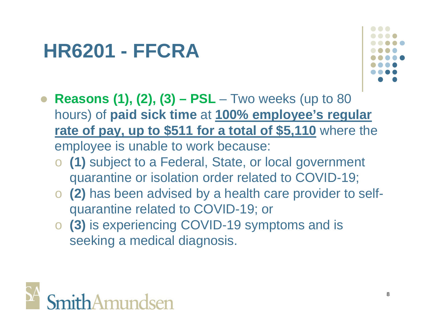

- **Reasons (1), (2), (3) PSL** Two weeks (up to 80 hours) of **paid sick time** at **100% employee's regular rate of pay, up to \$511 for a total of \$5,110** where the employee is unable to work because:
	- o **(1)** subject to a Federal, State, or local government quarantine or isolation order related to COVID-19;
	- o **(2)** has been advised by a health care provider to selfquarantine related to COVID-19; or
	- o **(3)** is experiencing COVID-19 symptoms and is seeking a medical diagnosis.

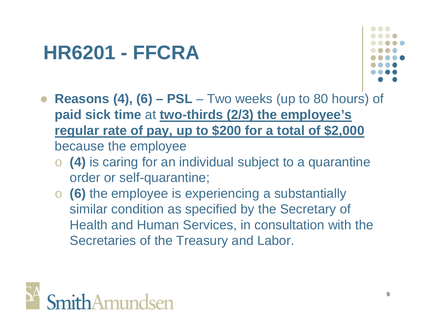

- **Reasons (4), (6) PSL** Two weeks (up to 80 hours) of **paid sick time** at **two-thirds (2/3) the employee's regular rate of pay, up to \$200 for a total of \$2,000** because the employee
	- o **(4)** is caring for an individual subject to a quarantine order or self-quarantine;
	- o **(6)** the employee is experiencing a substantially similar condition as specified by the Secretary of Health and Human Services, in consultation with the Secretaries of the Treasury and Labor.

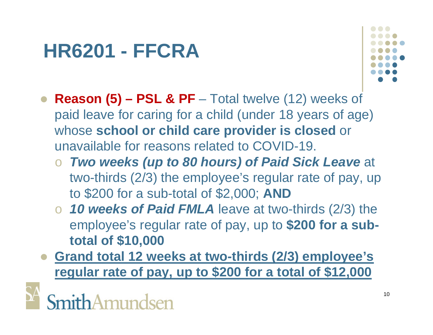

- **Reason (5) PSL & PF** Total twelve (12) weeks of paid leave for caring for a child (under 18 years of age) whose **school or child care provider is closed** or unavailable for reasons related to COVID-19.
	- o *Two weeks (up to 80 hours) of Paid Sick Leave* at two-thirds (2/3) the employee's regular rate of pay, up to \$200 for a sub-total of \$2,000; **AND**
	- o *10 weeks of Paid FMLA* leave at two-thirds (2/3) the employee's regular rate of pay, up to **\$200 for a subtotal of \$10,000**
- **Grand total 12 weeks at two-thirds (2/3) employee's regular rate of pay, up to \$200 for a total of \$12,000**

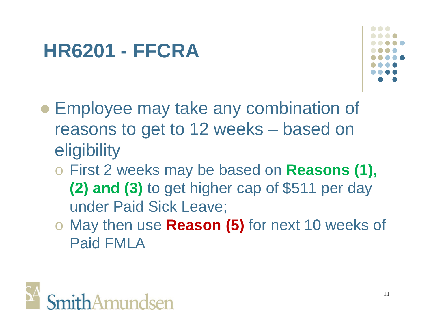

- Employee may take any combination of reasons to get to 12 weeks – based on eligibility
	- o First 2 weeks may be based on **Reasons (1), (2) and (3)** to get higher cap of \$511 per day under Paid Sick Leave;
	- o May then use **Reason (5)** for next 10 weeks of Paid FMLA

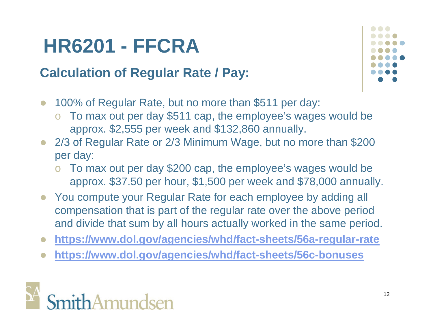#### **Calculation of Regular Rate / Pay:**

- 100% of Regular Rate, but no more than \$511 per day:
	- o To max out per day \$511 cap, the employee's wages would be approx. \$2,555 per week and \$132,860 annually.
- 2/3 of Regular Rate or 2/3 Minimum Wage, but no more than \$200 per day:
	- o To max out per day \$200 cap, the employee's wages would be approx. \$37.50 per hour, \$1,500 per week and \$78,000 annually.
- You compute your Regular Rate for each employee by adding all compensation that is part of the regular rate over the above period and divide that sum by all hours actually worked in the same period.
- **https://www.dol.gov/agencies/whd/fact-sheets/56a-regular-rate**
- **https://www.dol.gov/agencies/whd/fact-sheets/56c-bonuses**



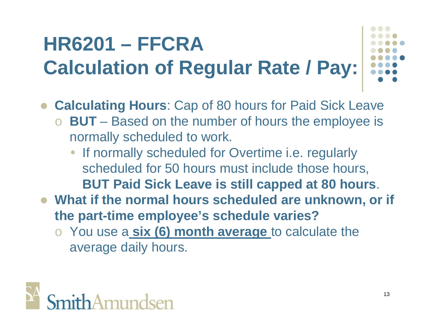# **HR6201 – FFCRA Calculation of Regular Rate / Pay:**

- **Calculating Hours**: Cap of 80 hours for Paid Sick Leave
	- o **BUT** Based on the number of hours the employee is normally scheduled to work.
		- If normally scheduled for Overtime i.e. regularly scheduled for 50 hours must include those hours, **BUT Paid Sick Leave is still capped at 80 hours**.
- **What if the normal hours scheduled are unknown, or if the part-time employee's schedule varies?**
	- o You use a **six (6) month average** to calculate the average daily hours.

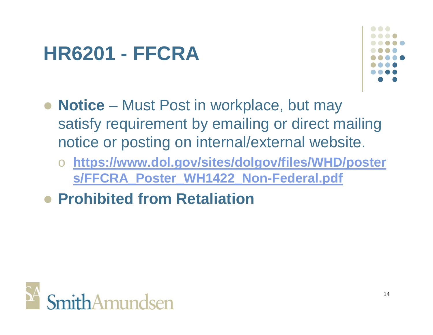

- **Notice** Must Post in workplace, but may satisfy requirement by emailing or direct mailing notice or posting on internal/external website.
	- o **https://www.dol.gov/sites/dolgov/files/WHD/poster s/FFCRA\_Poster\_WH1422\_Non-Federal.pdf**
- **Prohibited from Retaliation**

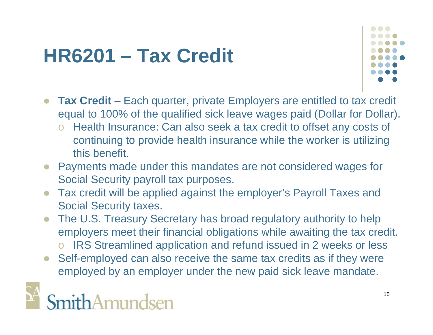# **HR6201 – Tax Credit**



- **Tax Credit** Each quarter, private Employers are entitled to tax credit equal to 100% of the qualified sick leave wages paid (Dollar for Dollar).
	- Health Insurance: Can also seek a tax credit to offset any costs of continuing to provide health insurance while the worker is utilizing this benefit.
- Payments made under this mandates are not considered wages for Social Security payroll tax purposes.
- Tax credit will be applied against the employer's Payroll Taxes and Social Security taxes.
- The U.S. Treasury Secretary has broad regulatory authority to help employers meet their financial obligations while awaiting the tax credit.
	- IRS Streamlined application and refund issued in 2 weeks or less
- Self-employed can also receive the same tax credits as if they were employed by an employer under the new paid sick leave mandate.

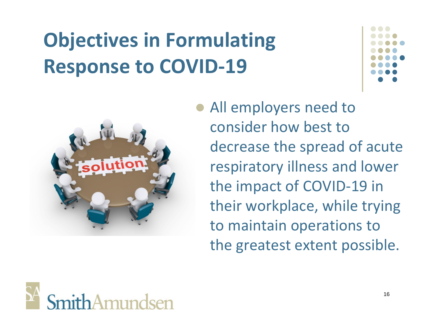# **Objectives in Formulating Response to COVID-19**



 All employers need to consider how best to decrease the spread of acute respiratory illness and lower the impact of COVID-19 in their workplace, while trying to maintain operations to the greatest extent possible.

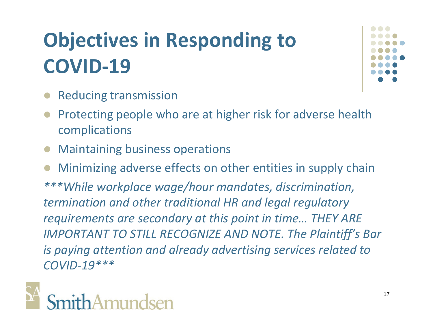# **Objectives in Responding to COVID-19**

- Reducing transmission
- Protecting people who are at higher risk for adverse health complications
- Maintaining business operations

 Minimizing adverse effects on other entities in supply chain *\*\*\*While workplace wage/hour mandates, discrimination, termination and other traditional HR and legal regulatory requirements are secondary at this point in time… THEY ARE IMPORTANT TO STILL RECOGNIZE AND NOTE. The Plaintiff's Bar is paying attention and already advertising services related to COVID-19\*\*\**

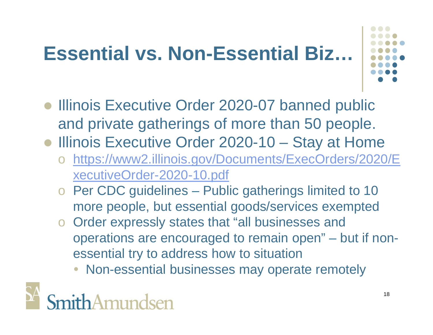# **Essential vs. Non-Essential Biz…**



- Illinois Executive Order 2020-07 banned public and private gatherings of more than 50 people.
- Illinois Executive Order 2020-10 Stay at Home
	- o https://www2.illinois.gov/Documents/ExecOrders/2020/E xecutiveOrder-2020-10.pdf
	- o Per CDC guidelines Public gatherings limited to 10 more people, but essential goods/services exempted
	- o Order expressly states that "all businesses and operations are encouraged to remain open" – but if nonessential try to address how to situation
		- Non-essential businesses may operate remotely

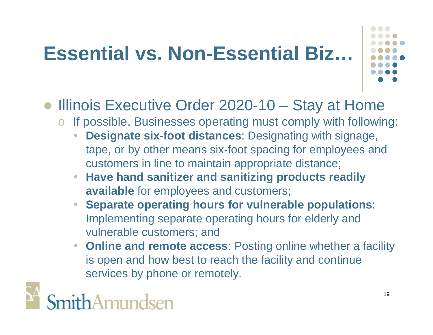# **Essential vs. Non-Essential Biz…**



- Illinois Executive Order 2020-10 Stay at Home
	- o If possible, Businesses operating must comply with following:
		- **Designate six-foot distances**: Designating with signage, tape, or by other means six-foot spacing for employees and customers in line to maintain appropriate distance;
		- **Have hand sanitizer and sanitizing products readily available** for employees and customers;
		- **Separate operating hours for vulnerable populations**: Implementing separate operating hours for elderly and vulnerable customers; and
		- **Online and remote access**: Posting online whether a facility is open and how best to reach the facility and continue services by phone or remotely.

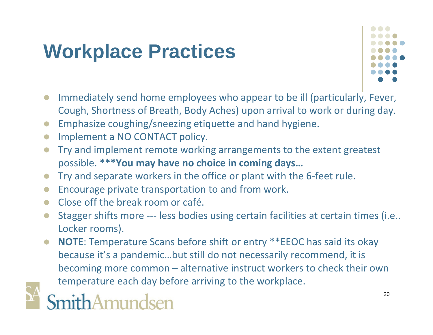# **Workplace Practices**



- Immediately send home employees who appear to be ill (particularly, Fever, Cough, Shortness of Breath, Body Aches) upon arrival to work or during day.
- Emphasize coughing/sneezing etiquette and hand hygiene.
- **Implement a NO CONTACT policy.**
- **•** Try and implement remote working arrangements to the extent greatest possible. **\*\*\*You may have no choice in coming days…**
- Try and separate workers in the office or plant with the 6-feet rule.
- **Encourage private transportation to and from work.**
- Close off the break room or café.
- Stagger shifts more --- less bodies using certain facilities at certain times (i.e.. Locker rooms).
- **NOTE**: Temperature Scans before shift or entry \*\*EEOC has said its okay because it's a pandemic…but still do not necessarily recommend, it is becoming more common – alternative instruct workers to check their own temperature each day before arriving to the workplace.



# SmithAmundsen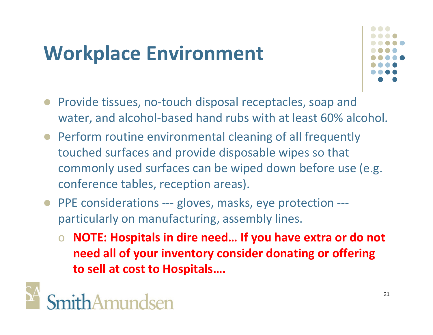# **Workplace Environment**



- Provide tissues, no-touch disposal receptacles, soap and water, and alcohol-based hand rubs with at least 60% alcohol.
- Perform routine environmental cleaning of all frequently touched surfaces and provide disposable wipes so that commonly used surfaces can be wiped down before use (e.g. conference tables, reception areas).
- PPE considerations --- gloves, masks, eye protection --particularly on manufacturing, assembly lines.
	- o **NOTE: Hospitals in dire need… If you have extra or do not need all of your inventory consider donating or offering to sell at cost to Hospitals….**

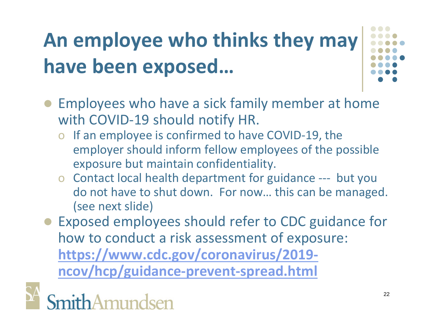# **An employee who thinks they may have been exposed…**

- 
- Employees who have a sick family member at home with COVID-19 should notify HR.
	- o If an employee is confirmed to have COVID-19, the employer should inform fellow employees of the possible exposure but maintain confidentiality.
	- o Contact local health department for guidance --- but you do not have to shut down. For now… this can be managed. (see next slide)
- Exposed employees should refer to CDC guidance for how to conduct a risk assessment of exposure: **https://www.cdc.gov/coronavirus/2019 ncov/hcp/guidance-prevent-spread.html**

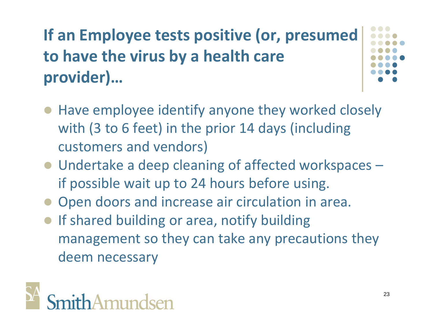## **If an Employee tests positive (or, presumed to have the virus by a health care provider)…**

- Have employee identify anyone they worked closely with (3 to 6 feet) in the prior 14 days (including customers and vendors)
- Undertake a deep cleaning of affected workspaces if possible wait up to 24 hours before using.
- Open doors and increase air circulation in area.
- **If shared building or area, notify building** management so they can take any precautions they deem necessary

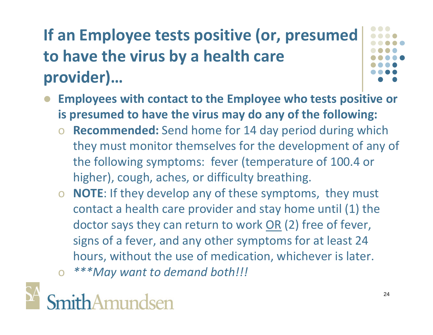# **If an Employee tests positive (or, presumed to have the virus by a health care provider)…**



- **Employees with contact to the Employee who tests positive or is presumed to have the virus may do any of the following:**
	- o **Recommended:** Send home for 14 day period during which they must monitor themselves for the development of any of the following symptoms: fever (temperature of 100.4 or higher), cough, aches, or difficulty breathing.
	- o **NOTE**: If they develop any of these symptoms, they must contact a health care provider and stay home until (1) the doctor says they can return to work OR (2) free of fever, signs of a fever, and any other symptoms for at least 24 hours, without the use of medication, whichever is later. o *\*\*\*May want to demand both!!!*

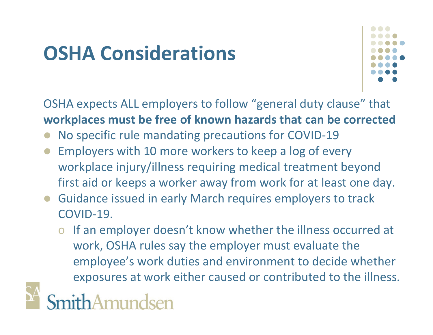# **OSHA Considerations**



OSHA expects ALL employers to follow "general duty clause" that **workplaces must be free of known hazards that can be corrected**

- No specific rule mandating precautions for COVID-19
- Employers with 10 more workers to keep a log of every workplace injury/illness requiring medical treatment beyond first aid or keeps a worker away from work for at least one day.
- Guidance issued in early March requires employers to track COVID-19.
	- o If an employer doesn't know whether the illness occurred at work, OSHA rules say the employer must evaluate the employee's work duties and environment to decide whether exposures at work either caused or contributed to the illness.

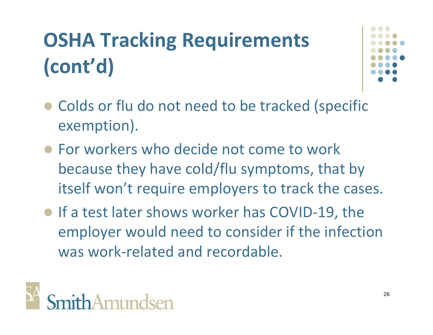# **OSHA Tracking Requirements (cont'd)**



- Colds or flu do not need to be tracked (specific exemption).
- For workers who decide not come to work because they have cold/flu symptoms, that by itself won't require employers to track the cases.
- If a test later shows worker has COVID-19, the employer would need to consider if the infection was work-related and recordable.

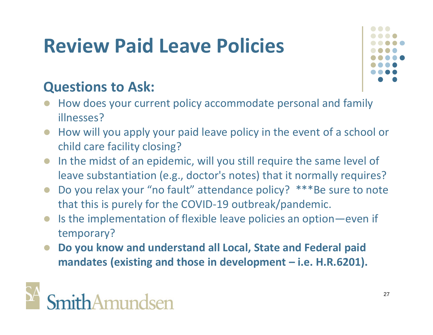# **Review Paid Leave Policies**

#### **Questions to Ask:**

- How does your current policy accommodate personal and family illnesses?
- How will you apply your paid leave policy in the event of a school or child care facility closing?
- In the midst of an epidemic, will you still require the same level of leave substantiation (e.g., doctor's notes) that it normally requires?
- Do you relax your "no fault" attendance policy? \*\*\*Be sure to note that this is purely for the COVID-19 outbreak/pandemic.
- Is the implementation of flexible leave policies an option—even if temporary?
- **Do you know and understand all Local, State and Federal paid mandates (existing and those in development – i.e. H.R.6201).**

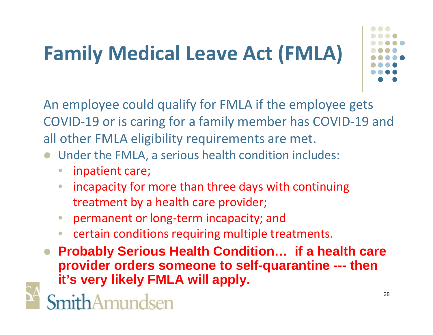# **Family Medical Leave Act (FMLA)**



An employee could qualify for FMLA if the employee gets COVID-19 or is caring for a family member has COVID-19 and all other FMLA eligibility requirements are met.

- Under the FMLA, a serious health condition includes:
	- inpatient care;
	- incapacity for more than three days with continuing treatment by a health care provider;
	- permanent or long-term incapacity; and
	- certain conditions requiring multiple treatments.
- **Probably Serious Health Condition… if a health care provider orders someone to self-quarantine --- then it's very likely FMLA will apply.**

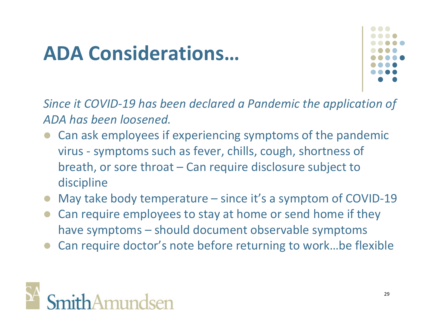# **ADA Considerations…**



*Since it COVID-19 has been declared a Pandemic the application of ADA has been loosened.*

- Can ask employees if experiencing symptoms of the pandemic virus - symptoms such as fever, chills, cough, shortness of breath, or sore throat – Can require disclosure subject to discipline
- May take body temperature since it's a symptom of COVID-19
- Can require employees to stay at home or send home if they have symptoms – should document observable symptoms
- Can require doctor's note before returning to work…be flexible

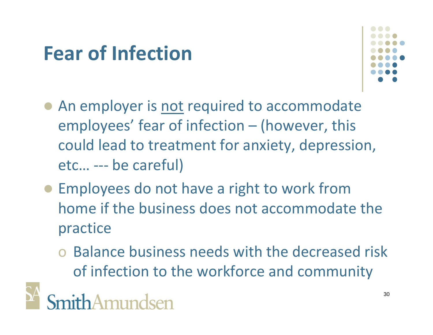# **Fear of Infection**



- An employer is not required to accommodate employees' fear of infection – (however, this could lead to treatment for anxiety, depression, etc… --- be careful)
- Employees do not have a right to work from home if the business does not accommodate the practice
	- o Balance business needs with the decreased risk of infection to the workforce and community

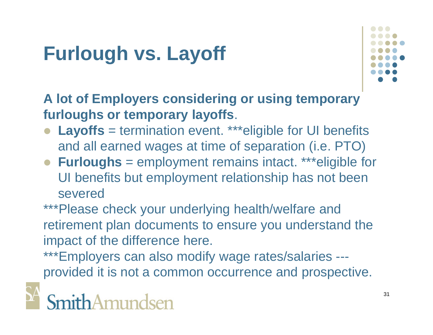# **Furlough vs. Layoff**



**A lot of Employers considering or using temporary furloughs or temporary layoffs**.

- Layoffs = termination event. \*\*\*eligible for UI benefits and all earned wages at time of separation (i.e. PTO)
- **Furloughs** = employment remains intact. \*\*\*eligible for UI benefits but employment relationship has not been severed

\*\*\*Please check your underlying health/welfare and retirement plan documents to ensure you understand the impact of the difference here.

\*\*\*Employers can also modify wage rates/salaries --provided it is not a common occurrence and prospective.

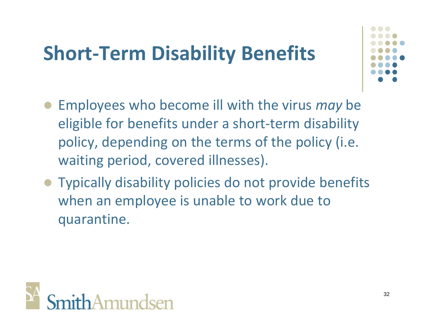# **Short-Term Disability Benefits**



- Employees who become ill with the virus *may* be eligible for benefits under a short-term disability policy, depending on the terms of the policy (i.e. waiting period, covered illnesses).
- Typically disability policies do not provide benefits when an employee is unable to work due to quarantine.

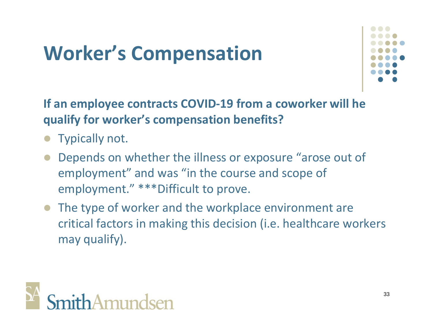# **Worker's Compensation**



**If an employee contracts COVID-19 from a coworker will he qualify for worker's compensation benefits?**

- Typically not.
- Depends on whether the illness or exposure "arose out of employment" and was "in the course and scope of employment." \*\*\*Difficult to prove.
- The type of worker and the workplace environment are critical factors in making this decision (i.e. healthcare workers may qualify).

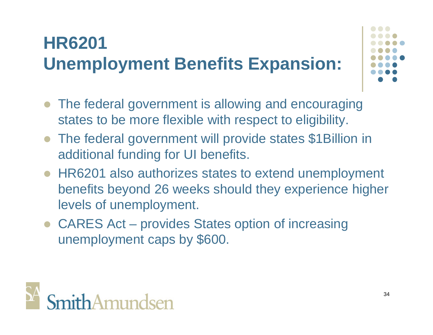# **HR6201 Unemployment Benefits Expansion:**

- The federal government is allowing and encouraging states to be more flexible with respect to eligibility.
- The federal government will provide states \$1Billion in additional funding for UI benefits.
- HR6201 also authorizes states to extend unemployment benefits beyond 26 weeks should they experience higher levels of unemployment.
- CARES Act provides States option of increasing unemployment caps by \$600.

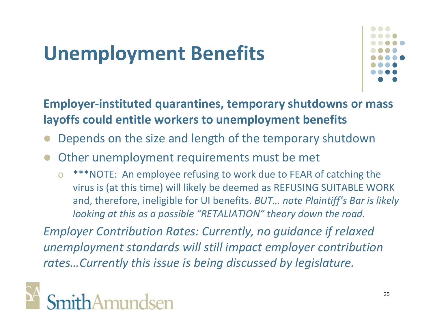# **Unemployment Benefits**



**Employer-instituted quarantines, temporary shutdowns or mass layoffs could entitle workers to unemployment benefits**

- Depends on the size and length of the temporary shutdown
- Other unemployment requirements must be met
	- o \*\*\*NOTE: An employee refusing to work due to FEAR of catching the virus is (at this time) will likely be deemed as REFUSING SUITABLE WORK and, therefore, ineligible for UI benefits. *BUT… note Plaintiff's Bar is likely looking at this as a possible "RETALIATION" theory down the road.*

*Employer Contribution Rates: Currently, no guidance if relaxed unemployment standards will still impact employer contribution rates…Currently this issue is being discussed by legislature.*

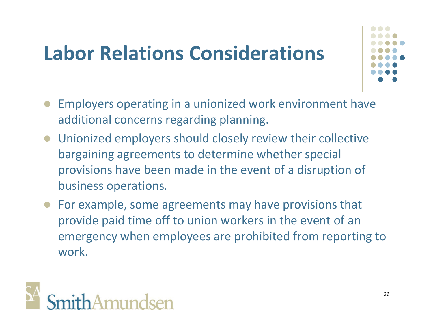# **Labor Relations Considerations**



- Employers operating in a unionized work environment have additional concerns regarding planning.
- Unionized employers should closely review their collective bargaining agreements to determine whether special provisions have been made in the event of a disruption of business operations.
- For example, some agreements may have provisions that provide paid time off to union workers in the event of an emergency when employees are prohibited from reporting to work.

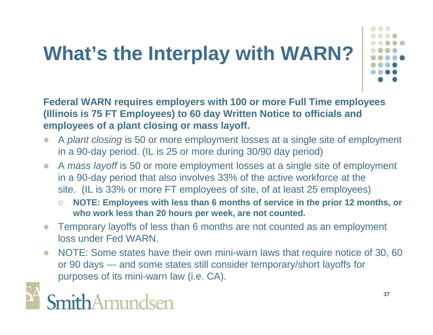# **What's the Interplay with WARN?**



**Federal WARN requires employers with 100 or more Full Time employees (Illinois is 75 FT Employees) to 60 day Written Notice to officials and employees of a plant closing or mass layoff.**

- A *plant closing* is 50 or more employment losses at a single site of employment in a 90-day period. (IL is 25 or more during 30/90 day period)
- A *mass layoff* is 50 or more employment losses at a single site of employment in a 90-day period that also involves 33% of the active workforce at the site. (IL is 33% or more FT employees of site, of at least 25 employees)
	- o **NOTE: Employees with less than 6 months of service in the prior 12 months, or who work less than 20 hours per week, are not counted.**
- Temporary layoffs of less than 6 months are not counted as an employment loss under Fed WARN.
- NOTE: Some states have their own mini-warn laws that require notice of 30, 60 or 90 days --- and some states still consider temporary/short layoffs for purposes of its mini-warn law (i.e. CA).

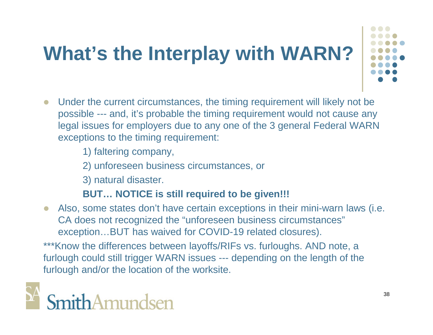# **What's the Interplay with WARN?**



- Under the current circumstances, the timing requirement will likely not be possible --- and, it's probable the timing requirement would not cause any legal issues for employers due to any one of the 3 general Federal WARN exceptions to the timing requirement:
	- 1) faltering company,
	- 2) unforeseen business circumstances, or
	- 3) natural disaster.

#### **BUT… NOTICE is still required to be given!!!**

 Also, some states don't have certain exceptions in their mini-warn laws (i.e. CA does not recognized the "unforeseen business circumstances" exception…BUT has waived for COVID-19 related closures).

\*\*\*Know the differences between layoffs/RIFs vs. furloughs. AND note, a furlough could still trigger WARN issues --- depending on the length of the furlough and/or the location of the worksite.

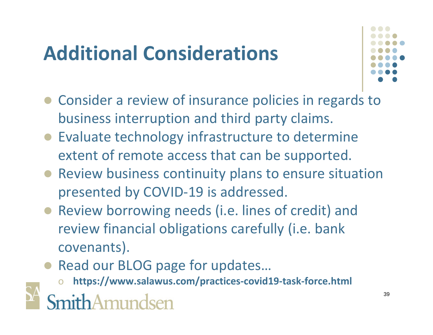# **Additional Considerations**



- Consider a review of insurance policies in regards to business interruption and third party claims.
- Evaluate technology infrastructure to determine extent of remote access that can be supported.
- Review business continuity plans to ensure situation presented by COVID-19 is addressed.
- Review borrowing needs (i.e. lines of credit) and review financial obligations carefully (i.e. bank covenants).
- Read our BLOG page for updates...
	- o **https://www.salawus.com/practices-covid19-task-force.html**